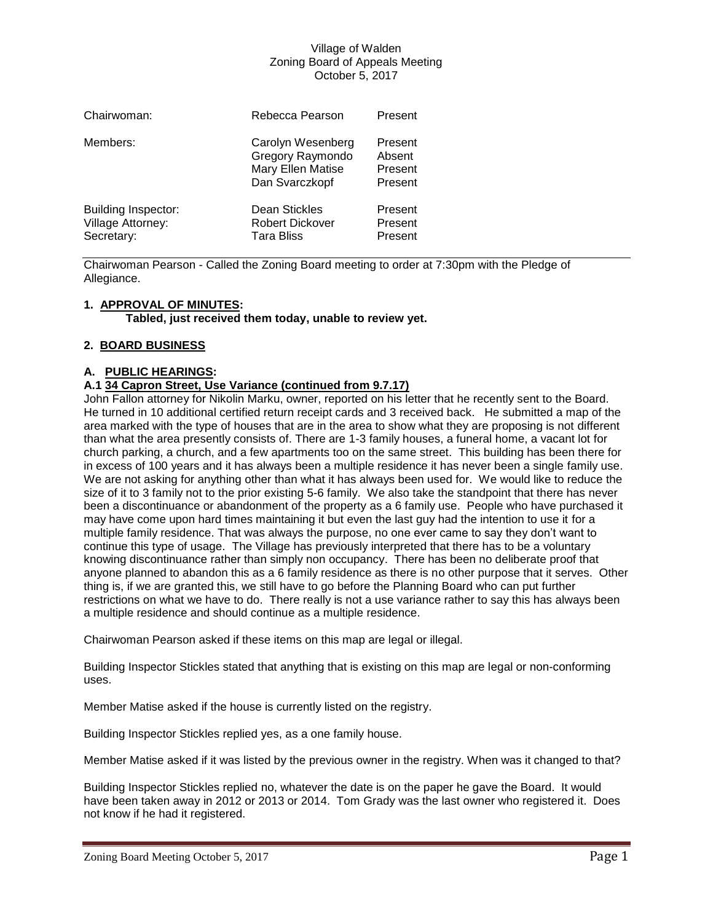| Chairwoman:                                                   | Rebecca Pearson                                                              | Present                                 |
|---------------------------------------------------------------|------------------------------------------------------------------------------|-----------------------------------------|
| Members:                                                      | Carolyn Wesenberg<br>Gregory Raymondo<br>Mary Ellen Matise<br>Dan Svarczkopf | Present<br>Absent<br>Present<br>Present |
| <b>Building Inspector:</b><br>Village Attorney:<br>Secretary: | Dean Stickles<br><b>Robert Dickover</b><br><b>Tara Bliss</b>                 | Present<br>Present<br>Present           |

Chairwoman Pearson - Called the Zoning Board meeting to order at 7:30pm with the Pledge of Allegiance.

# **1. APPROVAL OF MINUTES:**

**Tabled, just received them today, unable to review yet.**

# **2. BOARD BUSINESS**

# **A. PUBLIC HEARINGS:**

# **A.1 34 Capron Street, Use Variance (continued from 9.7.17)**

John Fallon attorney for Nikolin Marku, owner, reported on his letter that he recently sent to the Board. He turned in 10 additional certified return receipt cards and 3 received back. He submitted a map of the area marked with the type of houses that are in the area to show what they are proposing is not different than what the area presently consists of. There are 1-3 family houses, a funeral home, a vacant lot for church parking, a church, and a few apartments too on the same street. This building has been there for in excess of 100 years and it has always been a multiple residence it has never been a single family use. We are not asking for anything other than what it has always been used for. We would like to reduce the size of it to 3 family not to the prior existing 5-6 family. We also take the standpoint that there has never been a discontinuance or abandonment of the property as a 6 family use. People who have purchased it may have come upon hard times maintaining it but even the last guy had the intention to use it for a multiple family residence. That was always the purpose, no one ever came to say they don't want to continue this type of usage. The Village has previously interpreted that there has to be a voluntary knowing discontinuance rather than simply non occupancy. There has been no deliberate proof that anyone planned to abandon this as a 6 family residence as there is no other purpose that it serves. Other thing is, if we are granted this, we still have to go before the Planning Board who can put further restrictions on what we have to do. There really is not a use variance rather to say this has always been a multiple residence and should continue as a multiple residence.

Chairwoman Pearson asked if these items on this map are legal or illegal.

Building Inspector Stickles stated that anything that is existing on this map are legal or non-conforming uses.

Member Matise asked if the house is currently listed on the registry.

Building Inspector Stickles replied yes, as a one family house.

Member Matise asked if it was listed by the previous owner in the registry. When was it changed to that?

Building Inspector Stickles replied no, whatever the date is on the paper he gave the Board. It would have been taken away in 2012 or 2013 or 2014. Tom Grady was the last owner who registered it. Does not know if he had it registered.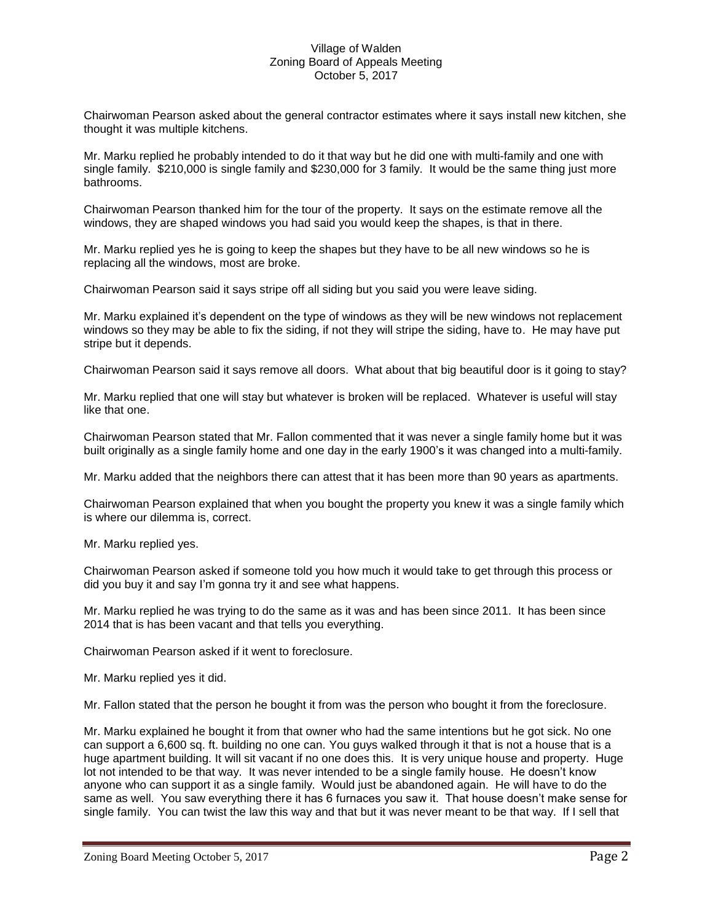Chairwoman Pearson asked about the general contractor estimates where it says install new kitchen, she thought it was multiple kitchens.

Mr. Marku replied he probably intended to do it that way but he did one with multi-family and one with single family. \$210,000 is single family and \$230,000 for 3 family. It would be the same thing just more bathrooms.

Chairwoman Pearson thanked him for the tour of the property. It says on the estimate remove all the windows, they are shaped windows you had said you would keep the shapes, is that in there.

Mr. Marku replied yes he is going to keep the shapes but they have to be all new windows so he is replacing all the windows, most are broke.

Chairwoman Pearson said it says stripe off all siding but you said you were leave siding.

Mr. Marku explained it's dependent on the type of windows as they will be new windows not replacement windows so they may be able to fix the siding, if not they will stripe the siding, have to. He may have put stripe but it depends.

Chairwoman Pearson said it says remove all doors. What about that big beautiful door is it going to stay?

Mr. Marku replied that one will stay but whatever is broken will be replaced. Whatever is useful will stay like that one.

Chairwoman Pearson stated that Mr. Fallon commented that it was never a single family home but it was built originally as a single family home and one day in the early 1900's it was changed into a multi-family.

Mr. Marku added that the neighbors there can attest that it has been more than 90 years as apartments.

Chairwoman Pearson explained that when you bought the property you knew it was a single family which is where our dilemma is, correct.

Mr. Marku replied yes.

Chairwoman Pearson asked if someone told you how much it would take to get through this process or did you buy it and say I'm gonna try it and see what happens.

Mr. Marku replied he was trying to do the same as it was and has been since 2011. It has been since 2014 that is has been vacant and that tells you everything.

Chairwoman Pearson asked if it went to foreclosure.

Mr. Marku replied yes it did.

Mr. Fallon stated that the person he bought it from was the person who bought it from the foreclosure.

Mr. Marku explained he bought it from that owner who had the same intentions but he got sick. No one can support a 6,600 sq. ft. building no one can. You guys walked through it that is not a house that is a huge apartment building. It will sit vacant if no one does this. It is very unique house and property. Huge lot not intended to be that way. It was never intended to be a single family house. He doesn't know anyone who can support it as a single family. Would just be abandoned again. He will have to do the same as well. You saw everything there it has 6 furnaces you saw it. That house doesn't make sense for single family. You can twist the law this way and that but it was never meant to be that way. If I sell that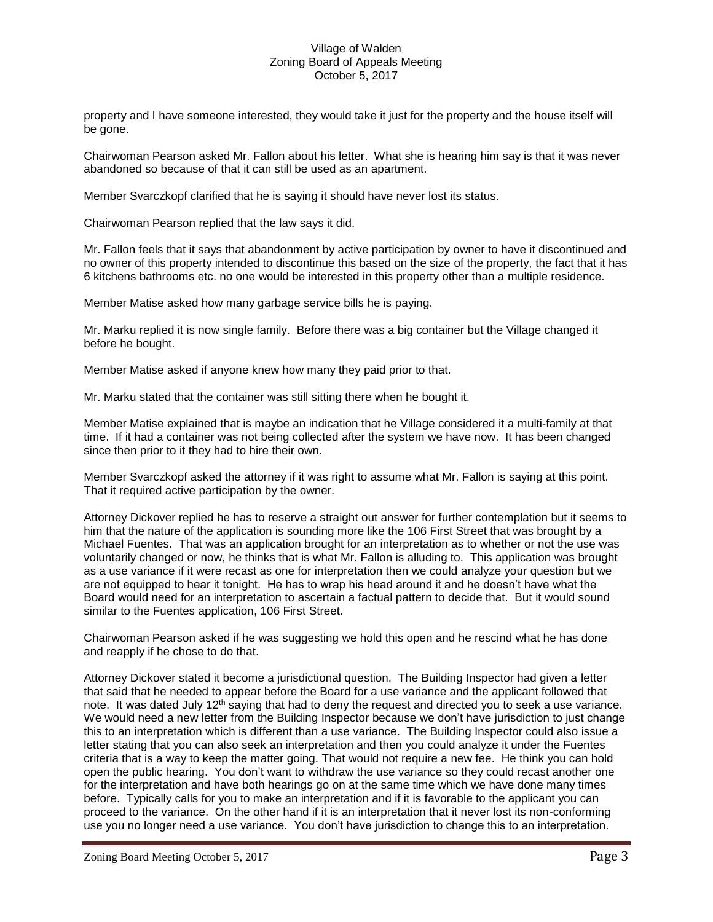property and I have someone interested, they would take it just for the property and the house itself will be gone.

Chairwoman Pearson asked Mr. Fallon about his letter. What she is hearing him say is that it was never abandoned so because of that it can still be used as an apartment.

Member Svarczkopf clarified that he is saying it should have never lost its status.

Chairwoman Pearson replied that the law says it did.

Mr. Fallon feels that it says that abandonment by active participation by owner to have it discontinued and no owner of this property intended to discontinue this based on the size of the property, the fact that it has 6 kitchens bathrooms etc. no one would be interested in this property other than a multiple residence.

Member Matise asked how many garbage service bills he is paying.

Mr. Marku replied it is now single family. Before there was a big container but the Village changed it before he bought.

Member Matise asked if anyone knew how many they paid prior to that.

Mr. Marku stated that the container was still sitting there when he bought it.

Member Matise explained that is maybe an indication that he Village considered it a multi-family at that time. If it had a container was not being collected after the system we have now. It has been changed since then prior to it they had to hire their own.

Member Svarczkopf asked the attorney if it was right to assume what Mr. Fallon is saying at this point. That it required active participation by the owner.

Attorney Dickover replied he has to reserve a straight out answer for further contemplation but it seems to him that the nature of the application is sounding more like the 106 First Street that was brought by a Michael Fuentes. That was an application brought for an interpretation as to whether or not the use was voluntarily changed or now, he thinks that is what Mr. Fallon is alluding to. This application was brought as a use variance if it were recast as one for interpretation then we could analyze your question but we are not equipped to hear it tonight. He has to wrap his head around it and he doesn't have what the Board would need for an interpretation to ascertain a factual pattern to decide that. But it would sound similar to the Fuentes application, 106 First Street.

Chairwoman Pearson asked if he was suggesting we hold this open and he rescind what he has done and reapply if he chose to do that.

Attorney Dickover stated it become a jurisdictional question. The Building Inspector had given a letter that said that he needed to appear before the Board for a use variance and the applicant followed that note. It was dated July 12<sup>th</sup> saying that had to deny the request and directed you to seek a use variance. We would need a new letter from the Building Inspector because we don't have jurisdiction to just change this to an interpretation which is different than a use variance. The Building Inspector could also issue a letter stating that you can also seek an interpretation and then you could analyze it under the Fuentes criteria that is a way to keep the matter going. That would not require a new fee. He think you can hold open the public hearing. You don't want to withdraw the use variance so they could recast another one for the interpretation and have both hearings go on at the same time which we have done many times before. Typically calls for you to make an interpretation and if it is favorable to the applicant you can proceed to the variance. On the other hand if it is an interpretation that it never lost its non-conforming use you no longer need a use variance. You don't have jurisdiction to change this to an interpretation.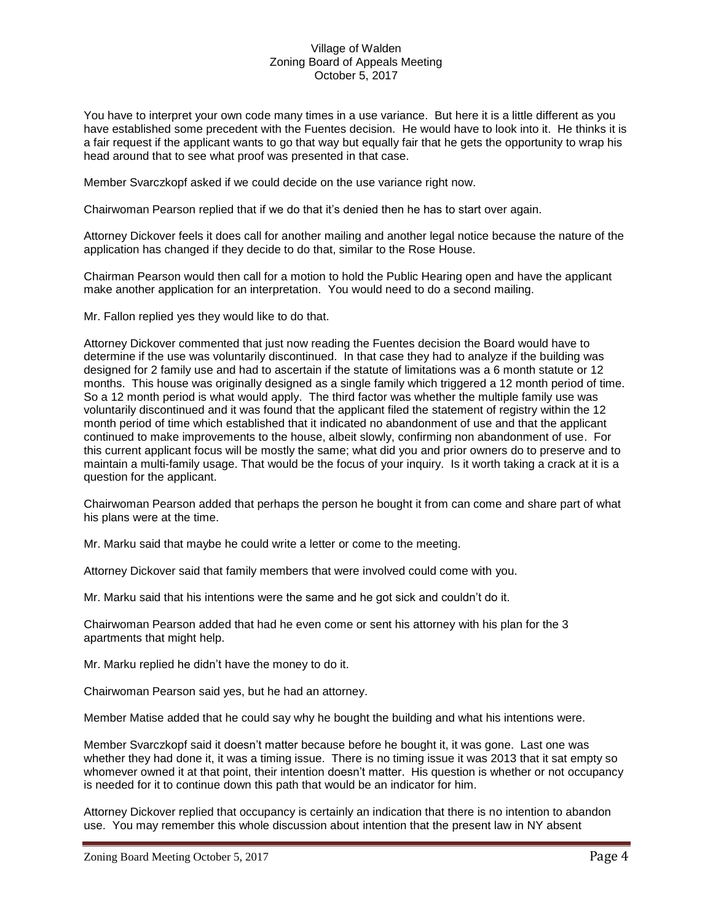You have to interpret your own code many times in a use variance. But here it is a little different as you have established some precedent with the Fuentes decision. He would have to look into it. He thinks it is a fair request if the applicant wants to go that way but equally fair that he gets the opportunity to wrap his head around that to see what proof was presented in that case.

Member Svarczkopf asked if we could decide on the use variance right now.

Chairwoman Pearson replied that if we do that it's denied then he has to start over again.

Attorney Dickover feels it does call for another mailing and another legal notice because the nature of the application has changed if they decide to do that, similar to the Rose House.

Chairman Pearson would then call for a motion to hold the Public Hearing open and have the applicant make another application for an interpretation. You would need to do a second mailing.

Mr. Fallon replied yes they would like to do that.

Attorney Dickover commented that just now reading the Fuentes decision the Board would have to determine if the use was voluntarily discontinued. In that case they had to analyze if the building was designed for 2 family use and had to ascertain if the statute of limitations was a 6 month statute or 12 months. This house was originally designed as a single family which triggered a 12 month period of time. So a 12 month period is what would apply. The third factor was whether the multiple family use was voluntarily discontinued and it was found that the applicant filed the statement of registry within the 12 month period of time which established that it indicated no abandonment of use and that the applicant continued to make improvements to the house, albeit slowly, confirming non abandonment of use. For this current applicant focus will be mostly the same; what did you and prior owners do to preserve and to maintain a multi-family usage. That would be the focus of your inquiry. Is it worth taking a crack at it is a question for the applicant.

Chairwoman Pearson added that perhaps the person he bought it from can come and share part of what his plans were at the time.

Mr. Marku said that maybe he could write a letter or come to the meeting.

Attorney Dickover said that family members that were involved could come with you.

Mr. Marku said that his intentions were the same and he got sick and couldn't do it.

Chairwoman Pearson added that had he even come or sent his attorney with his plan for the 3 apartments that might help.

Mr. Marku replied he didn't have the money to do it.

Chairwoman Pearson said yes, but he had an attorney.

Member Matise added that he could say why he bought the building and what his intentions were.

Member Svarczkopf said it doesn't matter because before he bought it, it was gone. Last one was whether they had done it, it was a timing issue. There is no timing issue it was 2013 that it sat empty so whomever owned it at that point, their intention doesn't matter. His question is whether or not occupancy is needed for it to continue down this path that would be an indicator for him.

Attorney Dickover replied that occupancy is certainly an indication that there is no intention to abandon use. You may remember this whole discussion about intention that the present law in NY absent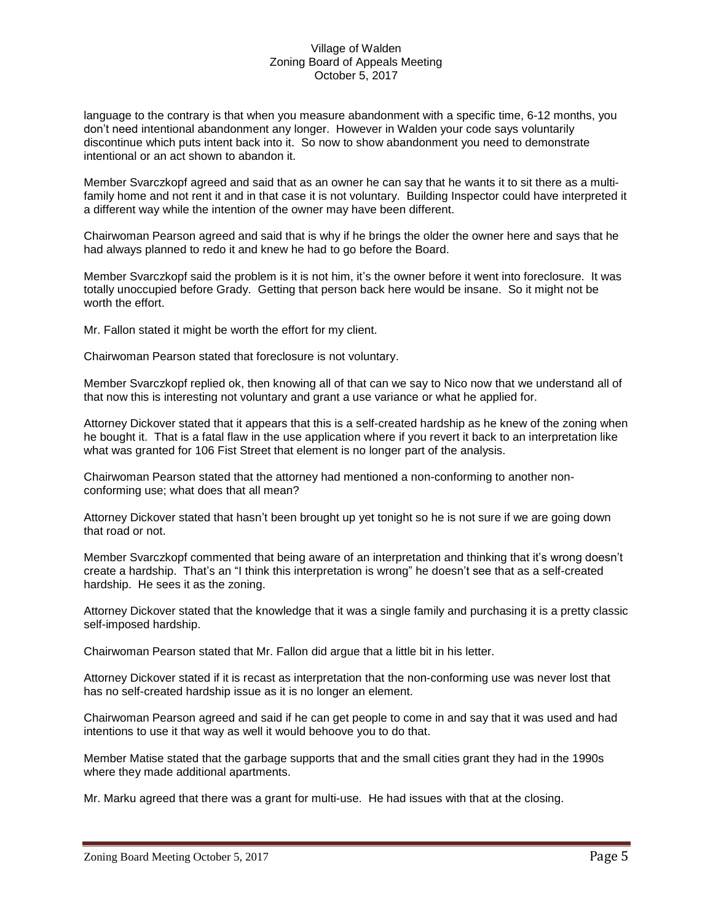language to the contrary is that when you measure abandonment with a specific time, 6-12 months, you don't need intentional abandonment any longer. However in Walden your code says voluntarily discontinue which puts intent back into it. So now to show abandonment you need to demonstrate intentional or an act shown to abandon it.

Member Svarczkopf agreed and said that as an owner he can say that he wants it to sit there as a multifamily home and not rent it and in that case it is not voluntary. Building Inspector could have interpreted it a different way while the intention of the owner may have been different.

Chairwoman Pearson agreed and said that is why if he brings the older the owner here and says that he had always planned to redo it and knew he had to go before the Board.

Member Svarczkopf said the problem is it is not him, it's the owner before it went into foreclosure. It was totally unoccupied before Grady. Getting that person back here would be insane. So it might not be worth the effort.

Mr. Fallon stated it might be worth the effort for my client.

Chairwoman Pearson stated that foreclosure is not voluntary.

Member Svarczkopf replied ok, then knowing all of that can we say to Nico now that we understand all of that now this is interesting not voluntary and grant a use variance or what he applied for.

Attorney Dickover stated that it appears that this is a self-created hardship as he knew of the zoning when he bought it. That is a fatal flaw in the use application where if you revert it back to an interpretation like what was granted for 106 Fist Street that element is no longer part of the analysis.

Chairwoman Pearson stated that the attorney had mentioned a non-conforming to another nonconforming use; what does that all mean?

Attorney Dickover stated that hasn't been brought up yet tonight so he is not sure if we are going down that road or not.

Member Svarczkopf commented that being aware of an interpretation and thinking that it's wrong doesn't create a hardship. That's an "I think this interpretation is wrong" he doesn't see that as a self-created hardship. He sees it as the zoning.

Attorney Dickover stated that the knowledge that it was a single family and purchasing it is a pretty classic self-imposed hardship.

Chairwoman Pearson stated that Mr. Fallon did argue that a little bit in his letter.

Attorney Dickover stated if it is recast as interpretation that the non-conforming use was never lost that has no self-created hardship issue as it is no longer an element.

Chairwoman Pearson agreed and said if he can get people to come in and say that it was used and had intentions to use it that way as well it would behoove you to do that.

Member Matise stated that the garbage supports that and the small cities grant they had in the 1990s where they made additional apartments.

Mr. Marku agreed that there was a grant for multi-use. He had issues with that at the closing.

Zoning Board Meeting October 5, 2017 Page 5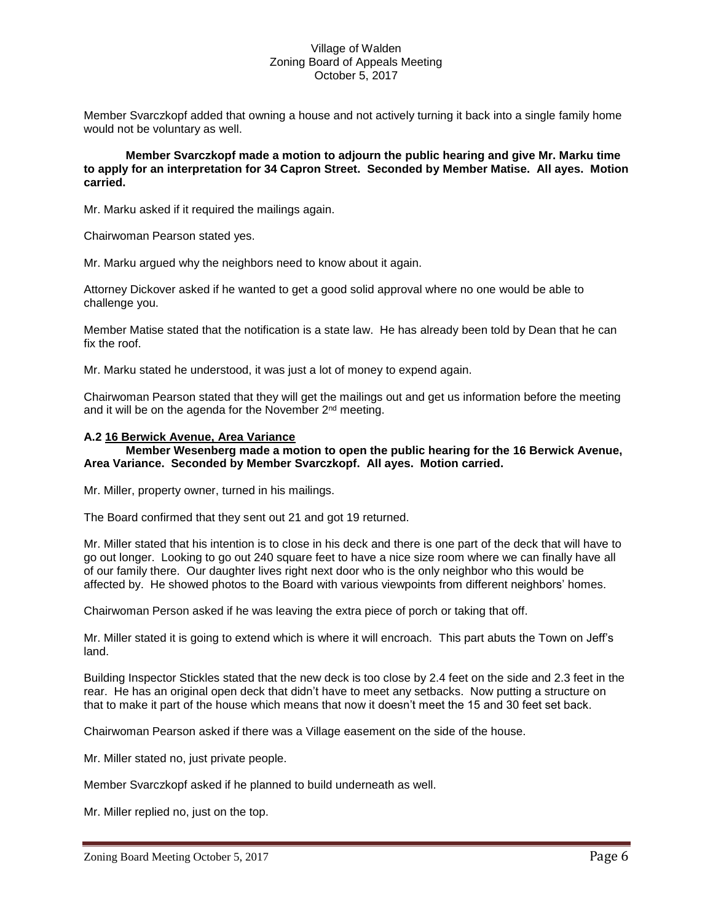Member Svarczkopf added that owning a house and not actively turning it back into a single family home would not be voluntary as well.

**Member Svarczkopf made a motion to adjourn the public hearing and give Mr. Marku time to apply for an interpretation for 34 Capron Street. Seconded by Member Matise. All ayes. Motion carried.**

Mr. Marku asked if it required the mailings again.

Chairwoman Pearson stated yes.

Mr. Marku argued why the neighbors need to know about it again.

Attorney Dickover asked if he wanted to get a good solid approval where no one would be able to challenge you.

Member Matise stated that the notification is a state law. He has already been told by Dean that he can fix the roof.

Mr. Marku stated he understood, it was just a lot of money to expend again.

Chairwoman Pearson stated that they will get the mailings out and get us information before the meeting and it will be on the agenda for the November 2<sup>nd</sup> meeting.

#### **A.2 16 Berwick Avenue, Area Variance**

#### **Member Wesenberg made a motion to open the public hearing for the 16 Berwick Avenue, Area Variance. Seconded by Member Svarczkopf. All ayes. Motion carried.**

Mr. Miller, property owner, turned in his mailings.

The Board confirmed that they sent out 21 and got 19 returned.

Mr. Miller stated that his intention is to close in his deck and there is one part of the deck that will have to go out longer. Looking to go out 240 square feet to have a nice size room where we can finally have all of our family there. Our daughter lives right next door who is the only neighbor who this would be affected by. He showed photos to the Board with various viewpoints from different neighbors' homes.

Chairwoman Person asked if he was leaving the extra piece of porch or taking that off.

Mr. Miller stated it is going to extend which is where it will encroach. This part abuts the Town on Jeff's land.

Building Inspector Stickles stated that the new deck is too close by 2.4 feet on the side and 2.3 feet in the rear. He has an original open deck that didn't have to meet any setbacks. Now putting a structure on that to make it part of the house which means that now it doesn't meet the 15 and 30 feet set back.

Chairwoman Pearson asked if there was a Village easement on the side of the house.

Mr. Miller stated no, just private people.

Member Svarczkopf asked if he planned to build underneath as well.

Mr. Miller replied no, just on the top.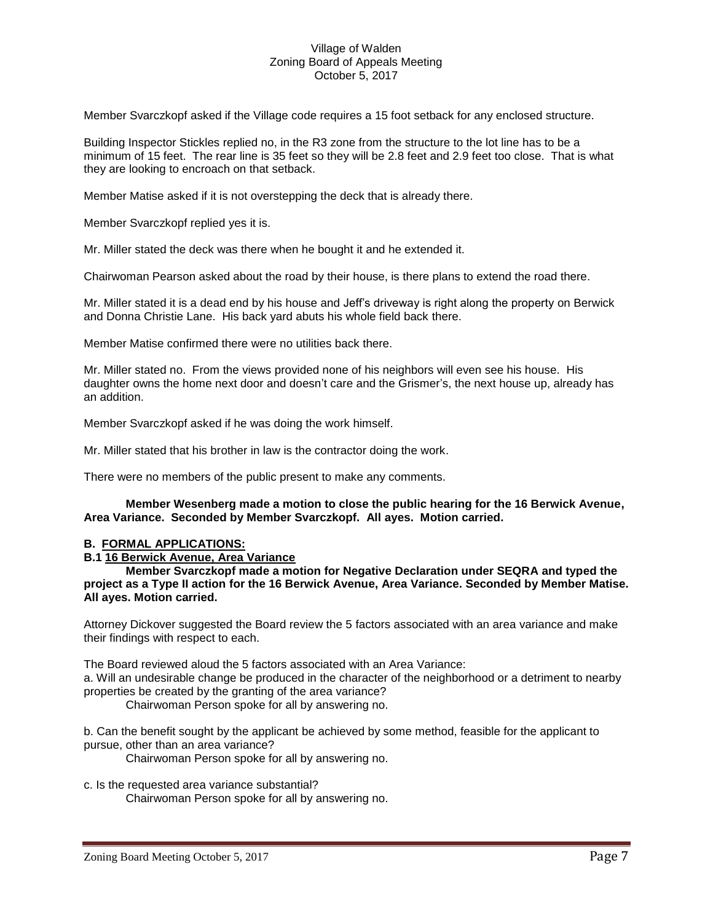Member Svarczkopf asked if the Village code requires a 15 foot setback for any enclosed structure.

Building Inspector Stickles replied no, in the R3 zone from the structure to the lot line has to be a minimum of 15 feet. The rear line is 35 feet so they will be 2.8 feet and 2.9 feet too close. That is what they are looking to encroach on that setback.

Member Matise asked if it is not overstepping the deck that is already there.

Member Svarczkopf replied yes it is.

Mr. Miller stated the deck was there when he bought it and he extended it.

Chairwoman Pearson asked about the road by their house, is there plans to extend the road there.

Mr. Miller stated it is a dead end by his house and Jeff's driveway is right along the property on Berwick and Donna Christie Lane. His back yard abuts his whole field back there.

Member Matise confirmed there were no utilities back there.

Mr. Miller stated no. From the views provided none of his neighbors will even see his house. His daughter owns the home next door and doesn't care and the Grismer's, the next house up, already has an addition.

Member Svarczkopf asked if he was doing the work himself.

Mr. Miller stated that his brother in law is the contractor doing the work.

There were no members of the public present to make any comments.

### **Member Wesenberg made a motion to close the public hearing for the 16 Berwick Avenue, Area Variance. Seconded by Member Svarczkopf. All ayes. Motion carried.**

### **B. FORMAL APPLICATIONS:**

**B.1 16 Berwick Avenue, Area Variance** 

**Member Svarczkopf made a motion for Negative Declaration under SEQRA and typed the project as a Type II action for the 16 Berwick Avenue, Area Variance. Seconded by Member Matise. All ayes. Motion carried.**

Attorney Dickover suggested the Board review the 5 factors associated with an area variance and make their findings with respect to each.

The Board reviewed aloud the 5 factors associated with an Area Variance:

a. Will an undesirable change be produced in the character of the neighborhood or a detriment to nearby properties be created by the granting of the area variance?

Chairwoman Person spoke for all by answering no.

b. Can the benefit sought by the applicant be achieved by some method, feasible for the applicant to pursue, other than an area variance?

Chairwoman Person spoke for all by answering no.

c. Is the requested area variance substantial? Chairwoman Person spoke for all by answering no.